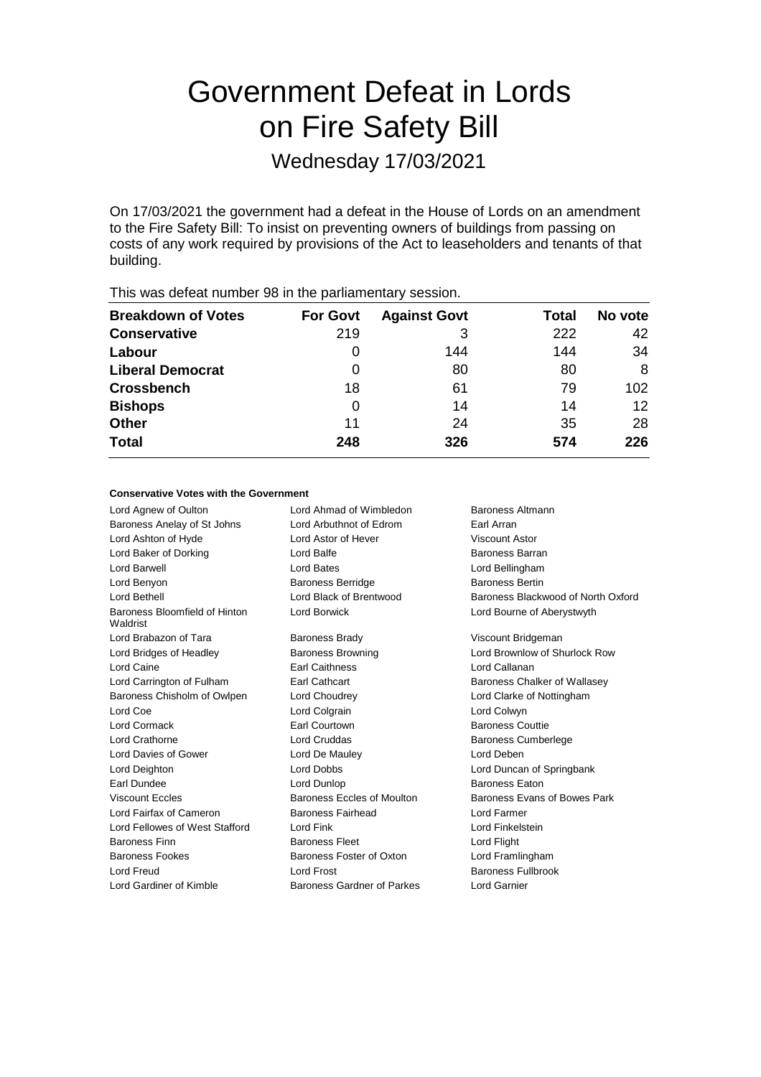# Government Defeat in Lords on Fire Safety Bill

Wednesday 17/03/2021

On 17/03/2021 the government had a defeat in the House of Lords on an amendment to the Fire Safety Bill: To insist on preventing owners of buildings from passing on costs of any work required by provisions of the Act to leaseholders and tenants of that building.

| <b>For Govt</b> | <b>Against Govt</b> | Total | No vote           |
|-----------------|---------------------|-------|-------------------|
| 219             | 3                   | 222   | 42                |
| 0               | 144                 | 144   | 34                |
| 0               | 80                  | 80    | 8                 |
| 18              | 61                  | 79    | 102               |
| 0               | 14                  | 14    | $12 \overline{ }$ |
| 11              | 24                  | 35    | 28                |
| 248             | 326                 | 574   | 226               |
|                 |                     |       |                   |

This was defeat number 98 in the parliamentary session.

#### **Conservative Votes with the Government**

Lord Agnew of Oulton **Lord Ahmad of Wimbledon** Baroness Altmann Baroness Anelay of St Johns Lord Arbuthnot of Edrom Earl Arran Lord Ashton of Hyde Lord Astor of Hever Viscount Astor Lord Baker of Dorking **Baroness Barran** Lord Balfe Baroness Barran Lord Barwell Lord Bates Lord Bellingham Lord Benyon **Baroness Berridge** Baroness Bertin Baroness Bertin Lord Bethell Lord Black of Brentwood Baroness Blackwood of North Oxford Baroness Bloomfield of Hinton Waldrist Lord Borwick Lord Bourne of Aberystwyth Lord Brabazon of Tara **Baroness Brady Communist Constructs** Viscount Bridgeman Lord Bridges of Headley Baroness Browning Lord Brownlow of Shurlock Row Lord Caine Earl Caithness Lord Callanan Lord Carrington of Fulham Earl Cathcart Baroness Chalker of Wallasey Baroness Chisholm of Owlpen Lord Choudrey Lord Clarke of Nottingham Lord Coe Lord Colgrain Lord Colwyn Lord Cormack Earl Courtown Baroness Couttie Lord Crathorne Lord Cruddas Baroness Cumberlege Lord Davies of Gower Lord De Mauley Lord Deben Lord Deighton Lord Dobbs Lord Duncan of Springbank Earl Dundee Lord Dunlop Baroness Eaton Viscount Eccles **Baroness Eccles of Moulton** Baroness Evans of Bowes Park Lord Fairfax of Cameron Baroness Fairhead Lord Farmer Lord Fellowes of West Stafford Lord Fink Lord Finkelstein Baroness Finn **Baroness Fleet** Lord Flight Baroness Fookes **Baroness Foster of Oxton** Lord Framlingham Lord Freud Lord Frost Baroness Fullbrook Lord Gardiner of Kimble Baroness Gardner of Parkes Lord Garnier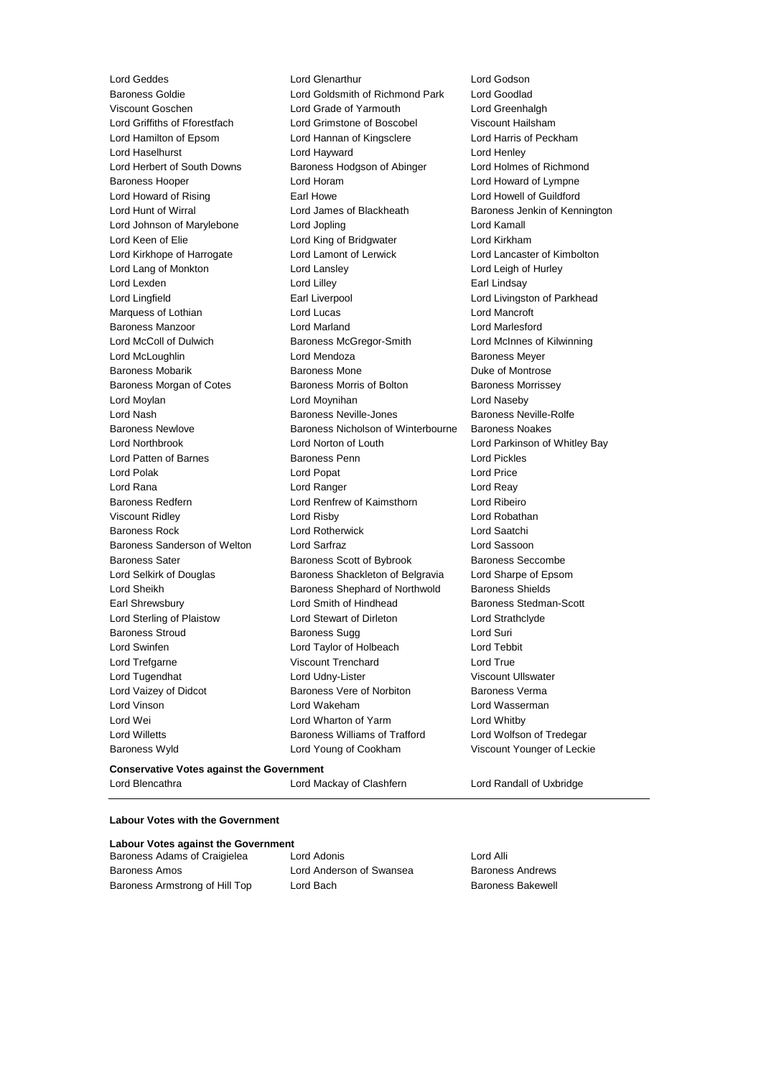Lord Geddes Lord Glenarthur Lord Godson Baroness Goldie Lord Goldsmith of Richmond Park Lord Goodlad Viscount Goschen Lord Grade of Yarmouth Lord Greenhalgh Lord Griffiths of Fforestfach Lord Grimstone of Boscobel Viscount Hailsham Lord Hamilton of Epsom Lord Hannan of Kingsclere Lord Harris of Peckham Lord Haselhurst **Lord Hayward** Lord Hayward Lord Henley Lord Herbert of South Downs Baroness Hodgson of Abinger Lord Holmes of Richmond Baroness Hooper Lord Horam Lord Howard of Lympne Lord Howard of Rising **Earl Howe Earl Howe Lord Howell of Guildford**<br>
Lord Hunt of Wirral **No. 2008** Lord James of Blackheath Baroness Jenkin of Keni Lord Hunt of Wirral Lord James of Blackheath Baroness Jenkin of Kennington Lord Johnson of Marylebone Lord Jopling Lord Kamall Lord Keen of Elie **Lord King of Bridgwater** Lord Kirkham Lord Kirkhope of Harrogate Lord Lamont of Lerwick Lord Lancaster of Kimbolton Lord Lang of Monkton Lord Lansley Lord Leigh of Hurley Lord Lexden **Lord Lindsay** Lord Lilley **Communist Communist Communist Communist Communist Communist Communist Communist Communist Communist Communist Communist Communist Communist Communist Communist Communist Communist Co** Lord Lingfield **Earl Liverpool** Earl Liverpool **Lord Livingston of Parkhead** Marquess of Lothian Lord Lucas Lord Mancroft Baroness Manzoor Lord Marland Lord Marlesford Lord McColl of Dulwich Baroness McGregor-Smith Lord McInnes of Kilwinning Lord McLoughlin Lord Mendoza Baroness Meyer Baroness Mobarik **Baroness Mone** Baroness Mone **Duke of Montrose** Baroness Morgan of Cotes **Baroness Morris of Bolton** Baroness Morrissey Lord Moylan Lord Moynihan Lord Naseby Lord Nash **Baroness Neville-Jones** Baroness Neville-Rolfe Baroness Newlove Baroness Nicholson of Winterbourne Baroness Noakes Lord Northbrook Lord Norton of Louth Lord Parkinson of Whitley Bay Lord Patten of Barnes **Baroness Penn** Lord Pickles Lord Polak **Lord Popat** Lord Popat **Lord Price** Lord Rana Lord Ranger Lord Reay Baroness Redfern Lord Renfrew of Kaimsthorn Lord Ribeiro Viscount Ridley Lord Risby Lord Robathan Baroness Rock Lord Rotherwick Lord Saatchi Baroness Sanderson of Welton Lord Sarfraz Lord Sassoon Baroness Sater **Baroness Scott of Bybrook** Baroness Seccombe Lord Selkirk of Douglas Baroness Shackleton of Belgravia Lord Sharpe of Epsom Lord Sheikh **Baroness Shephard of Northwold** Baroness Shields Earl Shrewsbury **Example 20** Lord Smith of Hindhead **Baroness** Stedman-Scott Lord Sterling of Plaistow Lord Stewart of Dirleton Lord Strathclyde Baroness Stroud **Baroness Sugg Contains Act and Suri** Baroness Sugg Lord Suri Lord Swinfen Lord Taylor of Holbeach Lord Tebbit Lord Trefgarne Viscount Trenchard Lord True Lord Tugendhat **Lord Udny-Lister** Viscount Ullswater Lord Vaizey of Didcot **Baroness Vere of Norbiton** Baroness Verma Lord Vinson Lord Wakeham Lord Wasserman Lord Wei **Lord Wharton of Yarm** Cord Whitby Lord Willetts Baroness Williams of Trafford Lord Wolfson of Tredegar Baroness Wyld Lord Young of Cookham Viscount Younger of Leckie

#### **Conservative Votes against the Government** Lord Blencathra Lord Mackay of Clashfern Lord Randall of Uxbridge

#### **Labour Votes with the Government**

| Labour Votes against the Government |                          |                          |  |  |
|-------------------------------------|--------------------------|--------------------------|--|--|
| Baroness Adams of Craigielea        | Lord Adonis              | Lord Alli                |  |  |
| <b>Baroness Amos</b>                | Lord Anderson of Swansea | <b>Baroness Andrews</b>  |  |  |
| Baroness Armstrong of Hill Top      | Lord Bach                | <b>Baroness Bakewell</b> |  |  |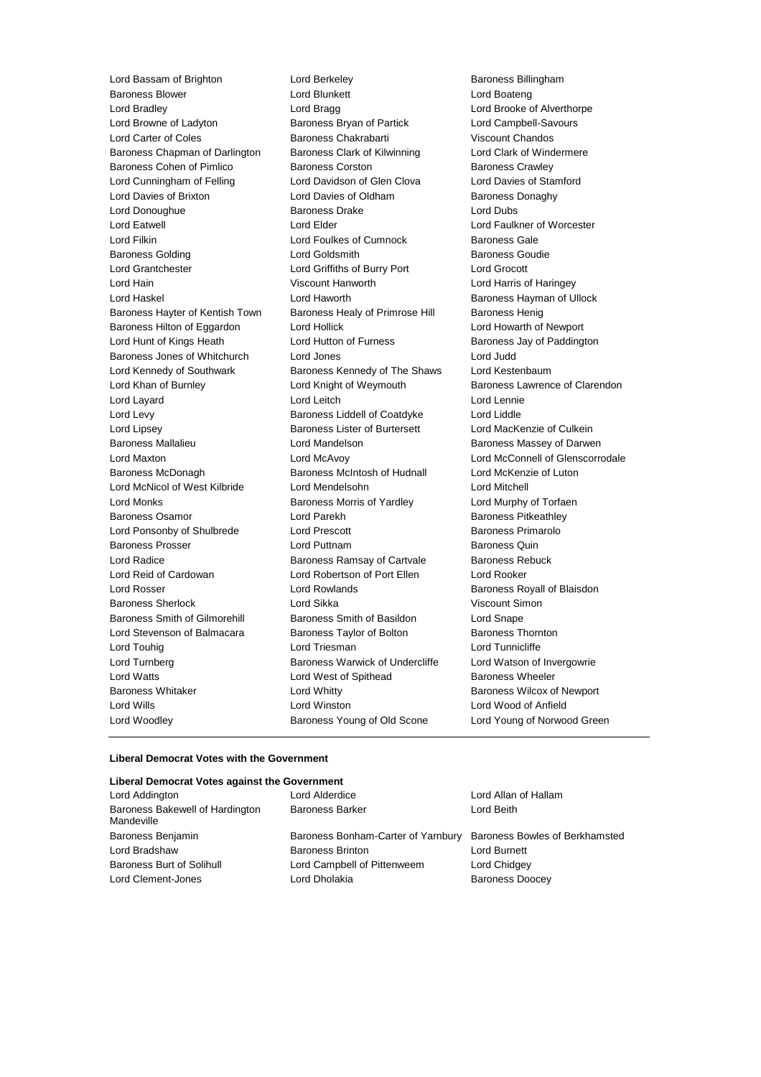Lord Bassam of Brighton **Lord Berkeley Baroness Billingham** Baroness Blower Lord Blunkett Lord Boateng Lord Bradley Lord Bragg Lord Brooke of Alverthorpe Lord Browne of Ladyton Baroness Bryan of Partick Lord Campbell-Savours Lord Carter of Coles Baroness Chakrabarti Viscount Chandos Baroness Chapman of Darlington Baroness Clark of Kilwinning Lord Clark of Windermere Baroness Cohen of Pimlico Baroness Corston Baroness Crawley Lord Cunningham of Felling Lord Davidson of Glen Clova Lord Davies of Stamford Lord Davies of Brixton **Lord Davies of Oldham** Baroness Donaghy Lord Donoughue **Baroness Drake** Lord Dubs Lord Eatwell Lord Elder Lord Faulkner of Worcester Lord Filkin Lord Foulkes of Cumnock Baroness Gale Baroness Golding **Collect Contact Contact Contact Contact Contact Contact Contact Contact Contact Contact Contact Contact Contact Contact Contact Contact Contact Contact Contact Contact Contact Contact Contact Contact Cont** Lord Grantchester Lord Griffiths of Burry Port Lord Grocott Lord Hain Viscount Hanworth Lord Harris of Haringey Lord Haskel Lord Haworth Baroness Hayman of Ullock Baroness Hayter of Kentish Town Baroness Healy of Primrose Hill Baroness Henig Baroness Hilton of Eggardon Lord Hollick Lord Howarth of Newport Lord Hunt of Kings Heath Lord Hutton of Furness **Baroness Jay of Paddington** Baroness Jones of Whitchurch Lord Jones Lord Judd Lord Kennedy of Southwark **Baroness Kennedy of The Shaws** Lord Kestenbaum Lord Khan of Burnley **Lord Knight of Weymouth Baroness Lawrence of Clarendon** Lord Layard **Lord Lord Leitch** Lord Lennie Lord Levy Baroness Liddell of Coatdyke Lord Liddle Lord Lipsey Baroness Lister of Burtersett Lord MacKenzie of Culkein Baroness Mallalieu Lord Mandelson Baroness Massey of Darwen Lord Maxton Lord McAvoy Lord McConnell of Glenscorrodale Baroness McDonagh Baroness McIntosh of Hudnall Lord McKenzie of Luton Lord McNicol of West Kilbride Lord Mendelsohn Lord Mitchell Lord Monks Baroness Morris of Yardley Lord Murphy of Torfaen Baroness Osamor **Lord Parekh** Baroness Pitkeathley Lord Ponsonby of Shulbrede Lord Prescott Corp. Baroness Primarolo Baroness Prosser **Baroness Prosser** Lord Puttnam **Baroness Quin** Lord Radice **Baroness Ramsay of Cartvale** Baroness Rebuck Lord Reid of Cardowan Lord Robertson of Port Ellen Lord Rooker Lord Rosser Lord Rowlands Baroness Royall of Blaisdon Baroness Sherlock Lord Sikka Viscount Simon Baroness Smith of Gilmorehill Baroness Smith of Basildon Lord Snape Lord Stevenson of Balmacara Baroness Taylor of Bolton Baroness Thornton Lord Touhig **Lord Triesman** Lord Triesman Lord Tunnicliffe Lord Turnberg Baroness Warwick of Undercliffe Lord Watson of Invergowrie Lord Watts **Lord West of Spithead** Baroness Wheeler Baroness Whitaker **Lord Whitty Communist Baroness Wilcox of Newport Baroness Wilcox of Newport** Lord Wills Lord Winston Lord Wood of Anfield Lord Woodley Baroness Young of Old Scone Lord Young of Norwood Green

#### **Liberal Democrat Votes with the Government**

#### **Liberal Democrat Votes against the Government**

| Lord Addington                                | Lord Alderdice                     | Lord Allan of Hallam           |
|-----------------------------------------------|------------------------------------|--------------------------------|
| Baroness Bakewell of Hardington<br>Mandeville | <b>Baroness Barker</b>             | Lord Beith                     |
| Baroness Benjamin                             | Baroness Bonham-Carter of Yarnbury | Baroness Bowles of Berkhamsted |
| Lord Bradshaw                                 | <b>Baroness Brinton</b>            | Lord Burnett                   |
| Baroness Burt of Solihull                     | Lord Campbell of Pittenweem        | Lord Chidgey                   |
| Lord Clement-Jones                            | Lord Dholakia                      | <b>Baroness Doocey</b>         |
|                                               |                                    |                                |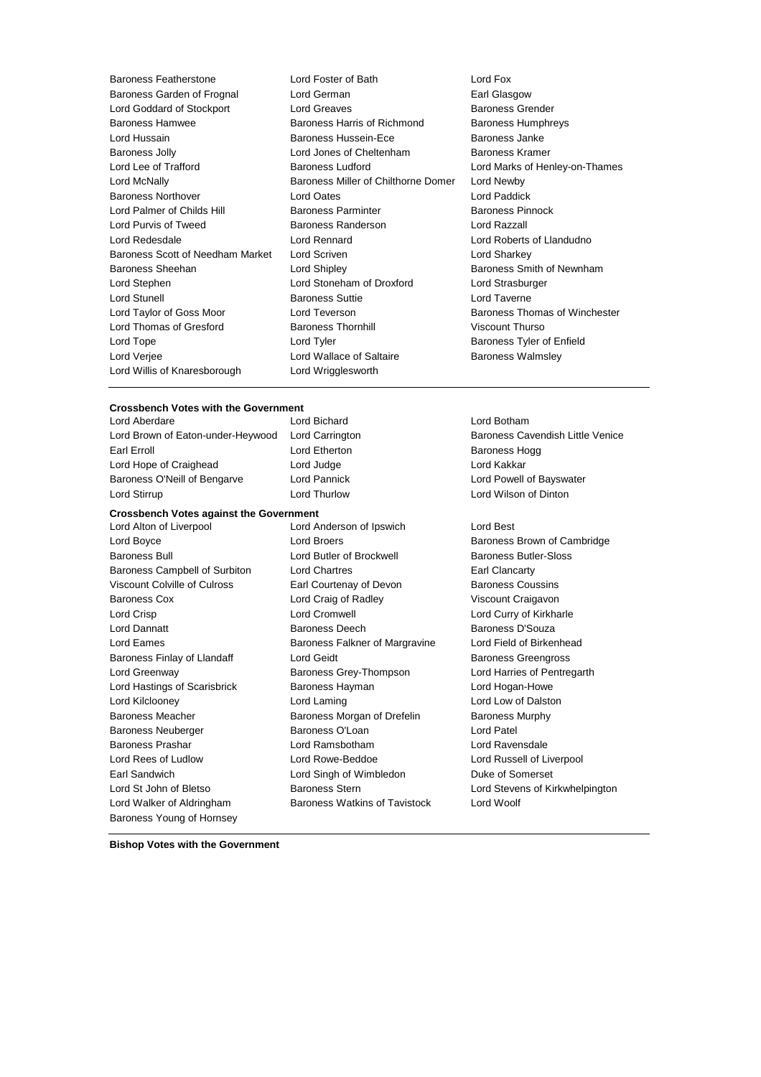| <b>Baroness Featherstone</b>     | Lord Foster of Bath                 | Lord Fox        |
|----------------------------------|-------------------------------------|-----------------|
| Baroness Garden of Frognal       | Lord German                         | Earl Glas       |
| Lord Goddard of Stockport        | <b>Lord Greaves</b>                 | <b>Baroness</b> |
| <b>Baroness Hamwee</b>           | Baroness Harris of Richmond         | <b>Baroness</b> |
| Lord Hussain                     | <b>Baroness Hussein-Ece</b>         | <b>Baroness</b> |
| <b>Baroness Jolly</b>            | Lord Jones of Cheltenham            | <b>Baroness</b> |
| Lord Lee of Trafford             | <b>Baroness Ludford</b>             | Lord Marl       |
| Lord McNally                     | Baroness Miller of Chilthorne Domer | Lord New        |
| <b>Baroness Northover</b>        | Lord Oates                          | Lord Pad        |
| Lord Palmer of Childs Hill       | <b>Baroness Parminter</b>           | <b>Baroness</b> |
| Lord Purvis of Tweed             | <b>Baroness Randerson</b>           | Lord Raz        |
| Lord Redesdale                   | Lord Rennard                        | Lord Rob        |
| Baroness Scott of Needham Market | Lord Scriven                        | Lord Sha        |
| Baroness Sheehan                 | Lord Shipley                        | <b>Baroness</b> |
| Lord Stephen                     | Lord Stoneham of Droxford           | Lord Stra       |
| <b>Lord Stunell</b>              | <b>Baroness Suttie</b>              | Lord Tav        |
| Lord Taylor of Goss Moor         | Lord Teverson                       | <b>Baroness</b> |
| Lord Thomas of Gresford          | <b>Baroness Thornhill</b>           | Viscount        |
| Lord Tope                        | Lord Tyler                          | <b>Baroness</b> |
| Lord Verjee                      | Lord Wallace of Saltaire            | <b>Baroness</b> |
| Lord Willis of Knaresborough     | Lord Wrigglesworth                  |                 |

### Earl Glasgow Baroness Grender Baroness Humphreys Baroness Janke Baroness Kramer Lord Marks of Henley-on-Thames Lord Newby Lord Paddick Baroness Pinnock Lord Razzall Lord Roberts of Llandudno Lord Sharkey Baroness Smith of Newnham Lord Strasburger Lord Taverne Baroness Thomas of Winchester Viscount Thurso Baroness Tyler of Enfield Baroness Walmsley

## **Crossbench Votes with the Government**

Earl Erroll **Example 20** Example 20 Lord Etherton **Baroness Hogg** Lord Hope of Craighead Lord Judge Lord Construction Lord Kakkar Baroness O'Neill of Bengarve Lord Pannick Lord Powell of Bayswater Lord Stirrup Lord Thurlow Lord Wilson of Dinton

#### **Crossbench Votes against the Government**

Lord Boyce **Lord Broers Lord Broers Baroness Brown of Cambridge** Baroness Bull Lord Butler of Brockwell Baroness Butler-Sloss Baroness Campbell of Surbiton Lord Chartres **Earl Clancarty** Earl Clancarty Viscount Colville of Culross Earl Courtenay of Devon Baroness Coussins Baroness Cox Lord Craig of Radley Viscount Craigavon Lord Crisp Lord Cromwell Lord Curry of Kirkharle Lord Dannatt **Baroness Deech** Baroness Deech Baroness D'Souza Lord Eames **Baroness Falkner of Margravine** Lord Field of Birkenhead Baroness Finlay of Llandaff **Lord Geidt** Baroness Greengross **Baroness** Greengross Lord Greenway Baroness Grey-Thompson Lord Harries of Pentregarth Lord Hastings of Scarisbrick **Baroness Hayman** Lord Hogan-Howe Lord Kilclooney Lord Laming Lord Low of Dalston Baroness Meacher **Baroness Morgan of Drefelin** Baroness Murphy Baroness Neuberger Baroness O'Loan Lord Patel Baroness Prashar Lord Ramsbotham Lord Ravensdale Lord Rees of Ludlow Lord Rowe-Beddoe Lord Russell of Liverpool Earl Sandwich Lord Singh of Wimbledon Duke of Somerset Lord St John of Bletso Baroness Stern Lord Stevens of Kirkwhelpington Lord Walker of Aldringham Baroness Watkins of Tavistock Lord Woolf Baroness Young of Hornsey

Lord Alton of Liverpool Lord Anderson of Ipswich Lord Best

Lord Bichard **Lord Botham** Lord Brown of Eaton-under-Heywood Lord Carrington **Baroness Cavendish Little Venice** 

**Bishop Votes with the Government**